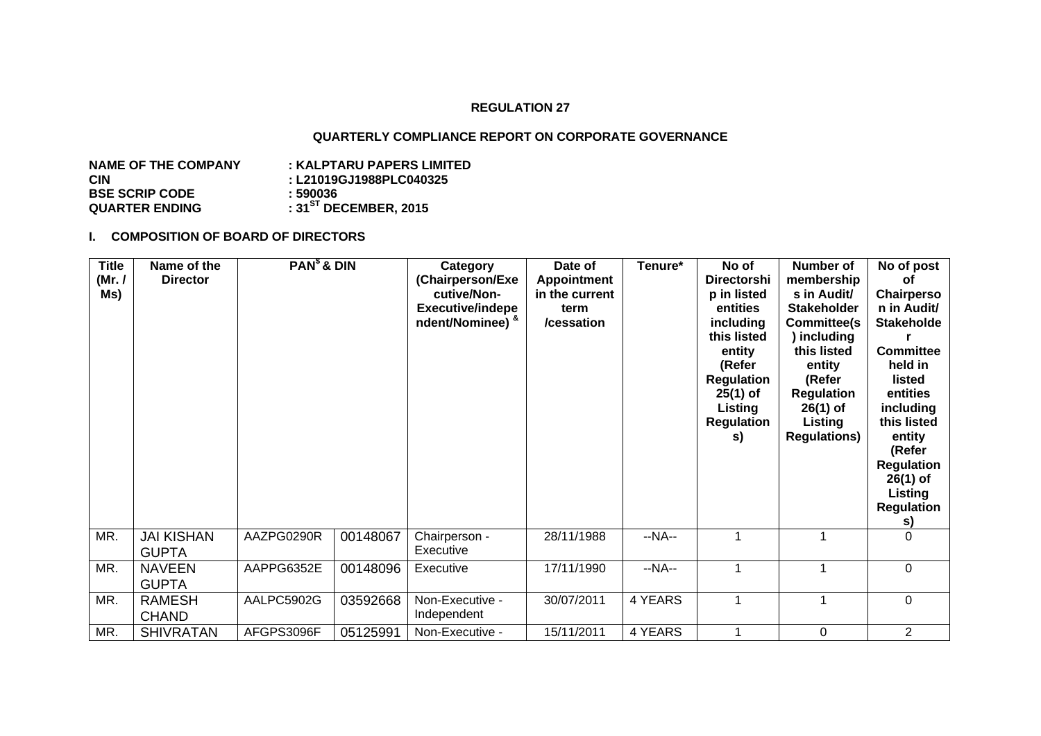#### **REGULATION 27**

### **QUARTERLY COMPLIANCE REPORT ON CORPORATE GOVERNANCE**

| <b>NAME OF THE COMPANY</b> | : KALPTARU PAPERS LIMITED  |
|----------------------------|----------------------------|
| CIN                        | : L21019GJ1988PLC040325    |
| <b>BSE SCRIP CODE</b>      | : 590036                   |
| QUARTER ENDING             | : $31^{5T}$ DECEMBER, 2015 |

#### **I. COMPOSITION OF BOARD OF DIRECTORS**

| <b>Title</b><br>(Mr. /<br>Ms) | Name of the<br><b>Director</b>    | $PAN§$ & DIN |          | Category<br>(Chairperson/Exe<br>cutive/Non-<br><b>Executive/indepe</b><br>ndent/Nominee) & | Date of<br>Appointment<br>in the current<br>term<br>/cessation | Tenure* | No of<br><b>Directorshi</b><br>p in listed<br>entities<br>including<br>this listed<br>entity<br>(Refer<br><b>Regulation</b><br>$25(1)$ of<br>Listing<br><b>Regulation</b><br>s) | <b>Number of</b><br>membership<br>s in Audit/<br><b>Stakeholder</b><br><b>Committee(s)</b><br>) including<br>this listed<br>entity<br>(Refer<br><b>Regulation</b><br>$26(1)$ of<br>Listing<br><b>Regulations)</b> | No of post<br>οf<br>Chairperso<br>n in Audit/<br><b>Stakeholde</b><br><b>Committee</b><br>held in<br>listed<br>entities<br>including<br>this listed<br>entity<br>(Refer<br><b>Regulation</b><br>$26(1)$ of<br>Listing<br><b>Regulation</b><br>s) |
|-------------------------------|-----------------------------------|--------------|----------|--------------------------------------------------------------------------------------------|----------------------------------------------------------------|---------|---------------------------------------------------------------------------------------------------------------------------------------------------------------------------------|-------------------------------------------------------------------------------------------------------------------------------------------------------------------------------------------------------------------|--------------------------------------------------------------------------------------------------------------------------------------------------------------------------------------------------------------------------------------------------|
| MR.                           | <b>JAI KISHAN</b><br><b>GUPTA</b> | AAZPG0290R   | 00148067 | Chairperson -<br>Executive                                                                 | 28/11/1988                                                     | $-NA-$  |                                                                                                                                                                                 |                                                                                                                                                                                                                   | $\Omega$                                                                                                                                                                                                                                         |
| MR.                           | <b>NAVEEN</b><br><b>GUPTA</b>     | AAPPG6352E   | 00148096 | Executive                                                                                  | 17/11/1990                                                     | $-NA-$  | 1                                                                                                                                                                               | 1                                                                                                                                                                                                                 | $\mathbf 0$                                                                                                                                                                                                                                      |
| MR.                           | <b>RAMESH</b><br><b>CHAND</b>     | AALPC5902G   | 03592668 | Non-Executive -<br>Independent                                                             | 30/07/2011                                                     | 4 YEARS |                                                                                                                                                                                 | 1                                                                                                                                                                                                                 | $\mathbf 0$                                                                                                                                                                                                                                      |
| MR.                           | <b>SHIVRATAN</b>                  | AFGPS3096F   | 05125991 | Non-Executive -                                                                            | 15/11/2011                                                     | 4 YEARS |                                                                                                                                                                                 | $\mathbf 0$                                                                                                                                                                                                       | $\overline{2}$                                                                                                                                                                                                                                   |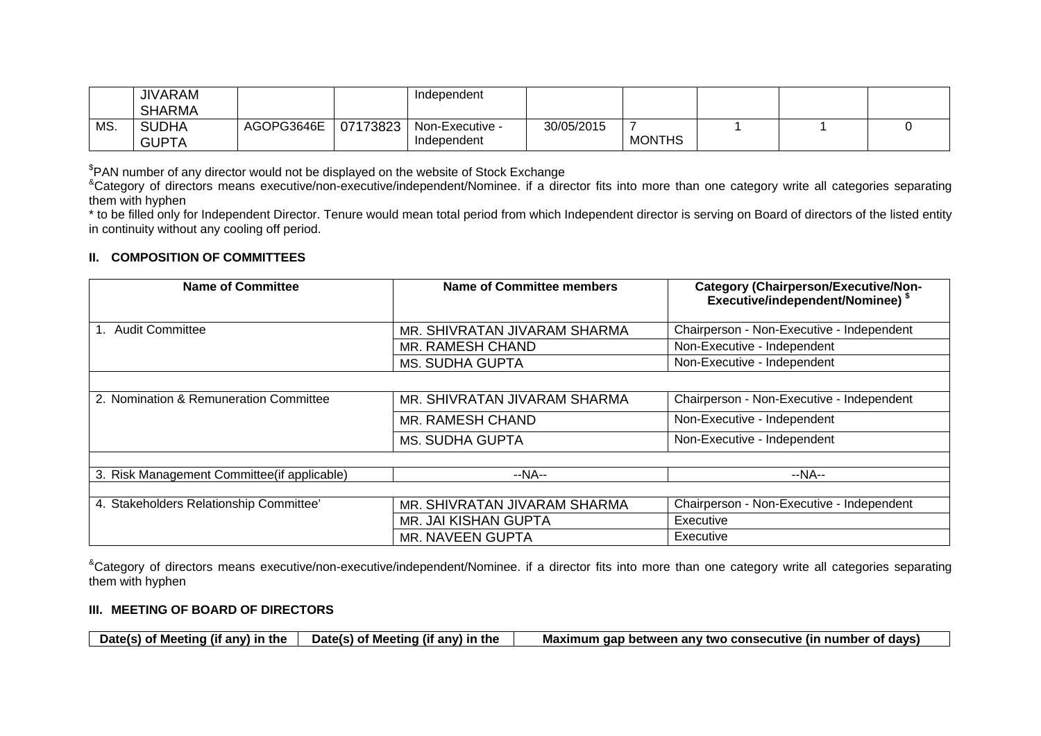|     | <b>JIVARAM</b> |            |          | Independent     |            |               |  |  |
|-----|----------------|------------|----------|-----------------|------------|---------------|--|--|
|     | <b>SHARMA</b>  |            |          |                 |            |               |  |  |
| MS. | <b>SUDHA</b>   | AGOPG3646E | 07173823 | Non-Executive - | 30/05/2015 |               |  |  |
|     | <b>GUPTA</b>   |            |          | Independent     |            | <b>MONTHS</b> |  |  |

<sup>\$</sup>PAN number of any director would not be displayed on the website of Stock Exchange<br><sup>8</sup>Category of directors means executive/non-executive/independent/Nominee. if a director fits into more than one category write all cat them with hyphen

\* to be filled only for Independent Director. Tenure would mean total period from which Independent director is serving on Board of directors of the listed entity in continuity without any cooling off period.

## **II. COMPOSITION OF COMMITTEES**

| <b>Name of Committee</b>                    | <b>Name of Committee members</b> | <b>Category (Chairperson/Executive/Non-</b><br>Executive/independent/Nominee) \$ |
|---------------------------------------------|----------------------------------|----------------------------------------------------------------------------------|
| 1. Audit Committee                          | MR. SHIVRATAN JIVARAM SHARMA     | Chairperson - Non-Executive - Independent                                        |
|                                             | MR. RAMESH CHAND                 | Non-Executive - Independent                                                      |
|                                             | <b>MS. SUDHA GUPTA</b>           | Non-Executive - Independent                                                      |
|                                             |                                  |                                                                                  |
| 2. Nomination & Remuneration Committee      | MR. SHIVRATAN JIVARAM SHARMA     | Chairperson - Non-Executive - Independent                                        |
|                                             | MR. RAMESH CHAND                 | Non-Executive - Independent                                                      |
|                                             | MS. SUDHA GUPTA                  | Non-Executive - Independent                                                      |
|                                             |                                  |                                                                                  |
| 3. Risk Management Committee(if applicable) | $-NA-$                           | $-NA-$                                                                           |
|                                             |                                  |                                                                                  |
| 4. Stakeholders Relationship Committee'     | MR. SHIVRATAN JIVARAM SHARMA     | Chairperson - Non-Executive - Independent                                        |
|                                             | MR. JAI KISHAN GUPTA             | Executive                                                                        |
|                                             | MR. NAVEEN GUPTA                 | Executive                                                                        |

<sup>&</sup>Category of directors means executive/non-executive/independent/Nominee. if a director fits into more than one category write all categories separating them with hyphen

### **III. MEETING OF BOARD OF DIRECTORS**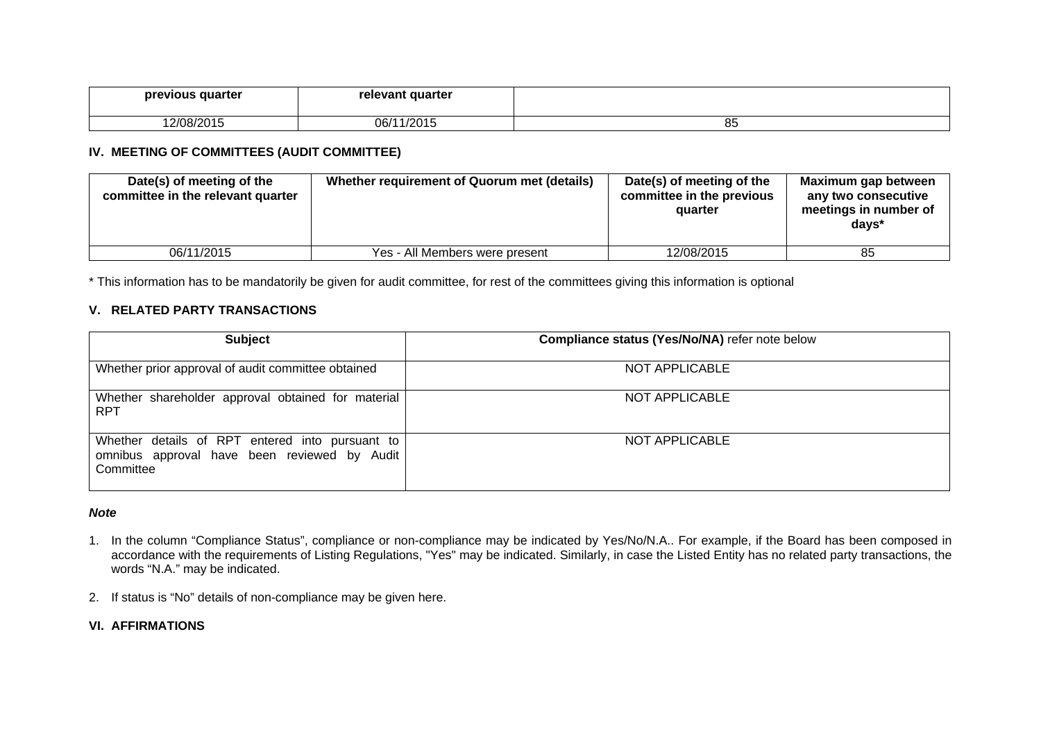| previous quarter | relevant quarter |          |
|------------------|------------------|----------|
| 12/08/2015       | 1/2015<br>06/1   | oε<br>ၓၥ |

## **IV. MEETING OF COMMITTEES (AUDIT COMMITTEE)**

| Date(s) of meeting of the<br>committee in the relevant quarter | Whether requirement of Quorum met (details) | Date(s) of meeting of the<br>committee in the previous<br>quarter | Maximum gap between<br>any two consecutive<br>meetings in number of<br>days* |
|----------------------------------------------------------------|---------------------------------------------|-------------------------------------------------------------------|------------------------------------------------------------------------------|
| 06/11/2015                                                     | Yes - All Members were present              | 12/08/2015                                                        | 85                                                                           |

\* This information has to be mandatorily be given for audit committee, for rest of the committees giving this information is optional

# **V. RELATED PARTY TRANSACTIONS**

| <b>Subject</b>                                                                                               | Compliance status (Yes/No/NA) refer note below |
|--------------------------------------------------------------------------------------------------------------|------------------------------------------------|
| Whether prior approval of audit committee obtained                                                           | NOT APPLICABLE                                 |
| Whether shareholder approval obtained for material<br><b>RPT</b>                                             | NOT APPLICABLE                                 |
| Whether details of RPT entered into pursuant to<br>omnibus approval have been reviewed by Audit<br>Committee | NOT APPLICABLE                                 |

### *Note*

- 1. In the column "Compliance Status", compliance or non-compliance may be indicated by Yes/No/N.A.. For example, if the Board has been composed in accordance with the requirements of Listing Regulations, "Yes" may be indicated. Similarly, in case the Listed Entity has no related party transactions, the words "N.A." may be indicated.
- 2. If status is "No" details of non-compliance may be given here.

# **VI. AFFIRMATIONS**